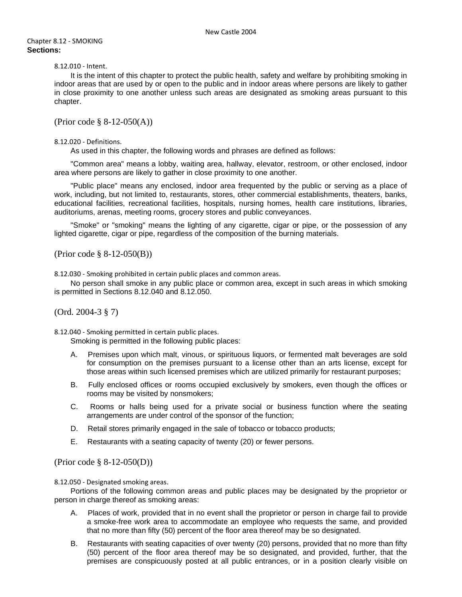#### Chapter 8.12 - SMOKING **Sections:**

# 8.12.010 - Intent.

It is the intent of this chapter to protect the public health, safety and welfare by prohibiting smoking in indoor areas that are used by or open to the public and in indoor areas where persons are likely to gather in close proximity to one another unless such areas are designated as smoking areas pursuant to this chapter.

(Prior code § 8-12-050(A))

#### 8.12.020 - Definitions.

As used in this chapter, the following words and phrases are defined as follows:

"Common area" means a lobby, waiting area, hallway, elevator, restroom, or other enclosed, indoor area where persons are likely to gather in close proximity to one another.

"Public place" means any enclosed, indoor area frequented by the public or serving as a place of work, including, but not limited to, restaurants, stores, other commercial establishments, theaters, banks, educational facilities, recreational facilities, hospitals, nursing homes, health care institutions, libraries, auditoriums, arenas, meeting rooms, grocery stores and public conveyances.

"Smoke" or "smoking" means the lighting of any cigarette, cigar or pipe, or the possession of any lighted cigarette, cigar or pipe, regardless of the composition of the burning materials.

(Prior code § 8-12-050(B))

8.12.030 - Smoking prohibited in certain public places and common areas.

No person shall smoke in any public place or common area, except in such areas in which smoking is permitted in Sections 8.12.040 and 8.12.050.

(Ord. 2004-3 § 7)

8.12.040 - Smoking permitted in certain public places.

Smoking is permitted in the following public places:

- A. Premises upon which malt, vinous, or spirituous liquors, or fermented malt beverages are sold for consumption on the premises pursuant to a license other than an arts license, except for those areas within such licensed premises which are utilized primarily for restaurant purposes;
- B. Fully enclosed offices or rooms occupied exclusively by smokers, even though the offices or rooms may be visited by nonsmokers;
- C. Rooms or halls being used for a private social or business function where the seating arrangements are under control of the sponsor of the function;
- D. Retail stores primarily engaged in the sale of tobacco or tobacco products;
- E. Restaurants with a seating capacity of twenty (20) or fewer persons.

(Prior code § 8-12-050(D))

8.12.050 - Designated smoking areas.

Portions of the following common areas and public places may be designated by the proprietor or person in charge thereof as smoking areas:

- A. Places of work, provided that in no event shall the proprietor or person in charge fail to provide a smoke-free work area to accommodate an employee who requests the same, and provided that no more than fifty (50) percent of the floor area thereof may be so designated.
- B. Restaurants with seating capacities of over twenty (20) persons, provided that no more than fifty (50) percent of the floor area thereof may be so designated, and provided, further, that the premises are conspicuously posted at all public entrances, or in a position clearly visible on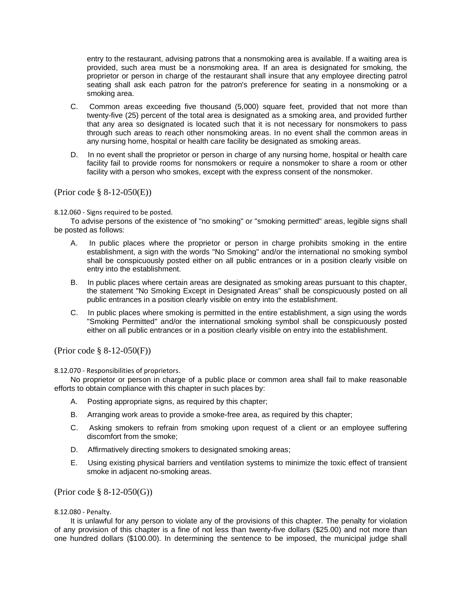entry to the restaurant, advising patrons that a nonsmoking area is available. If a waiting area is provided, such area must be a nonsmoking area. If an area is designated for smoking, the proprietor or person in charge of the restaurant shall insure that any employee directing patrol seating shall ask each patron for the patron's preference for seating in a nonsmoking or a smoking area.

- C. Common areas exceeding five thousand (5,000) square feet, provided that not more than twenty-five (25) percent of the total area is designated as a smoking area, and provided further that any area so designated is located such that it is not necessary for nonsmokers to pass through such areas to reach other nonsmoking areas. In no event shall the common areas in any nursing home, hospital or health care facility be designated as smoking areas.
- D. In no event shall the proprietor or person in charge of any nursing home, hospital or health care facility fail to provide rooms for nonsmokers or require a nonsmoker to share a room or other facility with a person who smokes, except with the express consent of the nonsmoker.

# (Prior code § 8-12-050(E))

## 8.12.060 - Signs required to be posted.

To advise persons of the existence of "no smoking" or "smoking permitted" areas, legible signs shall be posted as follows:

- A. In public places where the proprietor or person in charge prohibits smoking in the entire establishment, a sign with the words "No Smoking" and/or the international no smoking symbol shall be conspicuously posted either on all public entrances or in a position clearly visible on entry into the establishment.
- B. In public places where certain areas are designated as smoking areas pursuant to this chapter, the statement "No Smoking Except in Designated Areas" shall be conspicuously posted on all public entrances in a position clearly visible on entry into the establishment.
- C. In public places where smoking is permitted in the entire establishment, a sign using the words "Smoking Permitted" and/or the international smoking symbol shall be conspicuously posted either on all public entrances or in a position clearly visible on entry into the establishment.

(Prior code § 8-12-050(F))

## 8.12.070 - Responsibilities of proprietors.

No proprietor or person in charge of a public place or common area shall fail to make reasonable efforts to obtain compliance with this chapter in such places by:

- A. Posting appropriate signs, as required by this chapter;
- B. Arranging work areas to provide a smoke-free area, as required by this chapter;
- C. Asking smokers to refrain from smoking upon request of a client or an employee suffering discomfort from the smoke;
- D. Affirmatively directing smokers to designated smoking areas;
- E. Using existing physical barriers and ventilation systems to minimize the toxic effect of transient smoke in adjacent no-smoking areas.

## (Prior code § 8-12-050(G))

## 8.12.080 - Penalty.

It is unlawful for any person to violate any of the provisions of this chapter. The penalty for violation of any provision of this chapter is a fine of not less than twenty-five dollars (\$25.00) and not more than one hundred dollars (\$100.00). In determining the sentence to be imposed, the municipal judge shall